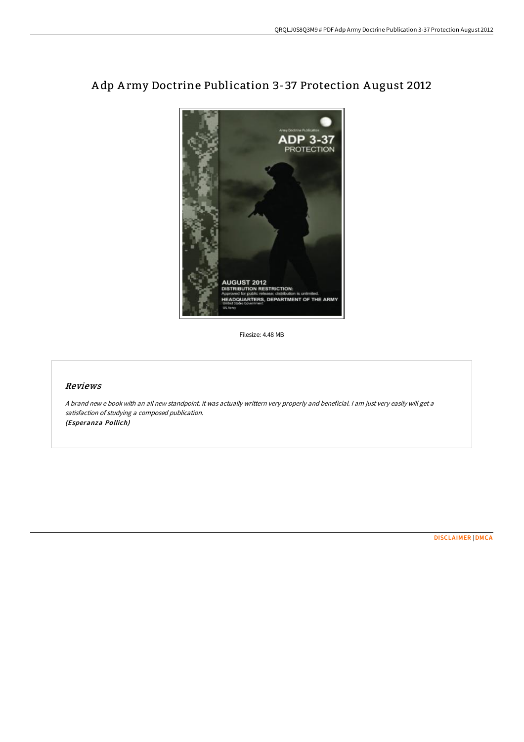

# A dp A rmy Doctrine Publication 3-37 Protection A ugust 2012

Filesize: 4.48 MB

### Reviews

<sup>A</sup> brand new <sup>e</sup> book with an all new standpoint. it was actually writtern very properly and beneficial. <sup>I</sup> am just very easily will get <sup>a</sup> satisfaction of studying <sup>a</sup> composed publication. (Esperanza Pollich)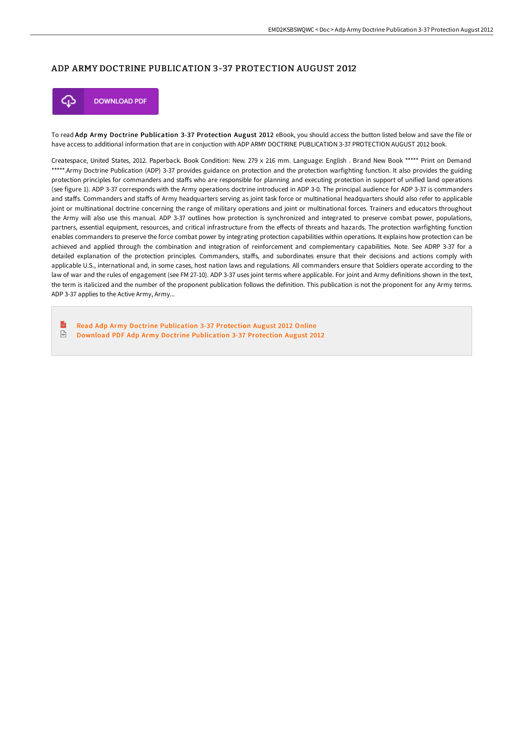## ADP ARMY DOCTRINE PUBLICATION 3-37 PROTECTION AUGUST 2012



To read Adp Army Doctrine Publication 3-37 Protection August 2012 eBook, you should access the button listed below and save the file or have access to additional information that are in conjuction with ADP ARMY DOCTRINE PUBLICATION 3-37 PROTECTION AUGUST 2012 book.

Createspace, United States, 2012. Paperback. Book Condition: New. 279 x 216 mm. Language: English . Brand New Book \*\*\*\*\* Print on Demand \*\*\*\*\*.Army Doctrine Publication (ADP) 3-37 provides guidance on protection and the protection warfighting function. It also provides the guiding protection principles for commanders and staffs who are responsible for planning and executing protection in support of unified land operations (see figure 1). ADP 3-37 corresponds with the Army operations doctrine introduced in ADP 3-0. The principal audience for ADP 3-37 is commanders and staffs. Commanders and staffs of Army headquarters serving as joint task force or multinational headquarters should also refer to applicable joint or multinational doctrine concerning the range of military operations and joint or multinational forces. Trainers and educators throughout the Army will also use this manual. ADP 3-37 outlines how protection is synchronized and integrated to preserve combat power, populations, partners, essential equipment, resources, and critical infrastructure from the effects of threats and hazards. The protection warfighting function enables commanders to preserve the force combat power by integrating protection capabilities within operations. It explains how protection can be achieved and applied through the combination and integration of reinforcement and complementary capabilities. Note. See ADRP 3-37 for a detailed explanation of the protection principles. Commanders, staffs, and subordinates ensure that their decisions and actions comply with applicable U.S., international and, in some cases, host nation laws and regulations. All commanders ensure that Soldiers operate according to the law of war and the rules of engagement (see FM 27-10). ADP 3-37 uses joint terms where applicable. For joint and Army definitions shown in the text, the term is italicized and the number of the proponent publication follows the definition. This publication is not the proponent for any Army terms. ADP 3-37 applies to the Active Army, Army...

 $\mathbf{R}$ Read Adp Army Doctrine [Publication](http://techno-pub.tech/adp-army-doctrine-publication-3-37-protection-au.html) 3-37 Protection August 2012 Online  $\boxed{\frac{1}{100}}$ Download PDF Adp Army Doctrine [Publication](http://techno-pub.tech/adp-army-doctrine-publication-3-37-protection-au.html) 3-37 Protection August 2012